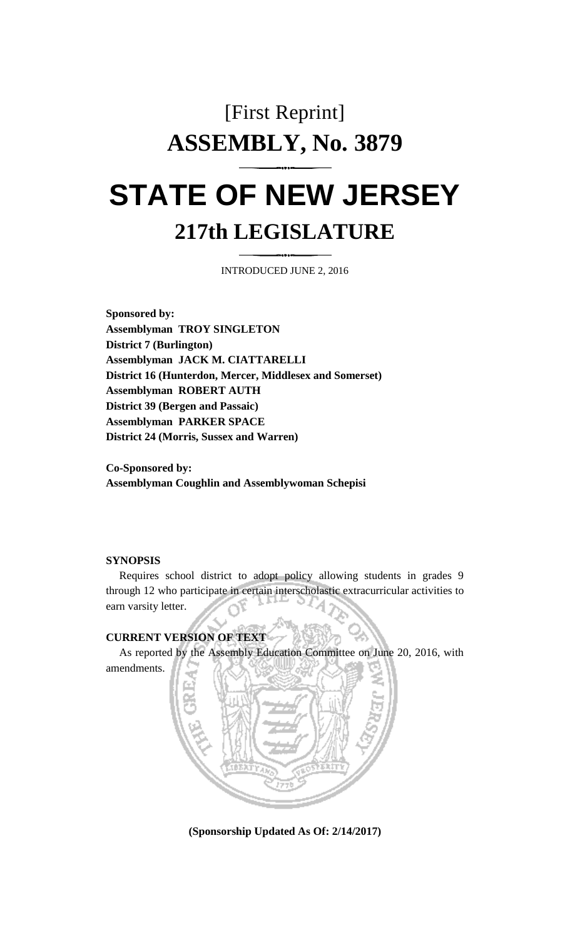## [First Reprint] **ASSEMBLY, No. 3879 STATE OF NEW JERSEY**

# **217th LEGISLATURE**

INTRODUCED JUNE 2, 2016

**Sponsored by: Assemblyman TROY SINGLETON District 7 (Burlington) Assemblyman JACK M. CIATTARELLI District 16 (Hunterdon, Mercer, Middlesex and Somerset) Assemblyman ROBERT AUTH District 39 (Bergen and Passaic) Assemblyman PARKER SPACE District 24 (Morris, Sussex and Warren)**

**Co-Sponsored by: Assemblyman Coughlin and Assemblywoman Schepisi**

#### **SYNOPSIS**

Requires school district to adopt policy allowing students in grades 9 through 12 who participate in certain interscholastic extracurricular activities to earn varsity letter.

#### **CURRENT VERSION OF TEXT**

As reported by the Assembly Education Committee on June 20, 2016, with amendments.



**(Sponsorship Updated As Of: 2/14/2017)**